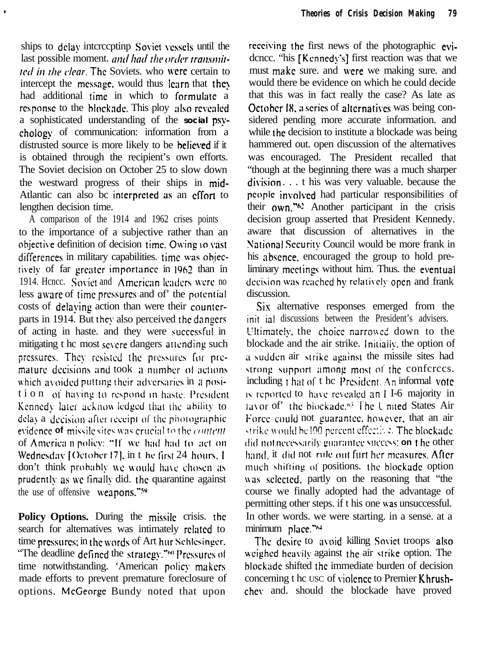ships to delay interceptinp Soviet vessels until the last possible moment. *and had the order transmit-Ied in the clear.* The Soviets. who were certain to intercept the message, would thus learn that they had additional time in which to formulate a response to the blockade. This ploy also revealed a sophisticated understanding of the **social** psychology of communication: information from a distrusted source is more likely to be believed if it is obtained through the recipient's own efforts. The Soviet decision on October 25 to slow down the westward progress of their ships in mid-Atlantic can also bc interpreted as an effort to lengthen decision time.

A comparison of the 1914 and 1962 crises points to the importance of a subjective rather than an objective definition of decision time. Owing 10 yast differences in military capabilities. time was objectively of far greater importance in 1962 than in 1914. Hence. Soviet and American leaders were no less aware of time prcssurcs and of' the potcntiai costs of delaving action than were their counterparts in 1914. But they also perceived the dangers of acting in haste. and they were successful in mitigating t hc most severe dangers attending such  $n$ rcssures. They resisted the pressures for premature decisions and took a number of actions which avoided putting their adversaries in a position of having to respond in haste. President Kennedy later acknow ledged that the ability to  $delta a$  decision after receipt of the photographic **evidence of missile sites was crucial to the** *content* of America n policy: "If we had had to act on Wednesday [October 17], in t he first 24 hours, I don't think probably we would have chosen as prudently as we finally did. the quarantine against the use of offensive weapons."sy

**Policy Options.** During the missile crisis. the search for alternatives was intimately rclatcd to time pressures; in the words of Art hur Schlesinger. "The deadline defined the strategy."<sup>60</sup> Pressures of time notwithstanding. 'American policy makers made efforts to prevent premature foreclosure of options. McGeorgc Bundy noted that upon

receiving the first news of the photographic evidcncc. "his [Kennedy's] first reaction was that we must make sure. and were we making sure. and would there be evidence on which he could decide that this was in fact really the case? As late as October 18, a series of alternatives was being considered pending more accurate information. and while the decision to institute a blockade was being hammered out. open discussion of the alternatives was encouraged. The President recalled that "though at the beginning there was a much sharper  $\frac{division...}{t}$  t his was very valuable. because the pcoplc involved had particular responsibilities of their  $own.^{"62}$  Another participant in the crisis decision group asserted that President Kennedy. aware that discussion of alternatives in the National Security Council would be more frank in his absence. encouraged the group to hold preliminary meetings without him. Thus. the eventuai decision was reached by relatively open and frank discussion.

Sis alternative responses emerged from the init ial discussions between the President's advisers. Ultimately, the choice narrowed down to the blockade and the air strike. lnitiaiiy. the option of a sudden air strike against the missile sites had strong support among most of the conferees. including  $t$  hat of  $t$  hc President. An informal vote  $\mu$  reported to have revealed an I I-6 majority in Iavor of' the blockade.<sup>63</sup> The United States Air Force could not guarantee, however, that an air **q!t-iC;c uo~1ld hc !W pt'ccnt** cffc::i\*. 2. The blockade **tiitl riol ri~x~~~~~;ir-il~~ ~r~;~r;lrif~~ 41k\*c'ctc: on** <sup>1</sup> tic other hand, it did not rule out furt her measures. After much **shil'ting** 01' positions. the blockade option was sclected, partly on the reasoning that "the course we finally adopted had the advantage of permitting other steps. if t his one was unsuccessful. In other words. we were starting. in a sense. at a minimum place."<sup>h4</sup>

The desire to avoid killing Soviet troops also weighed heavily against the air strike option. The blockade shifted the immediate burden of decision concerning t hc USC of violcncc to Premier Khrushthe\\* and. should the blockade have proved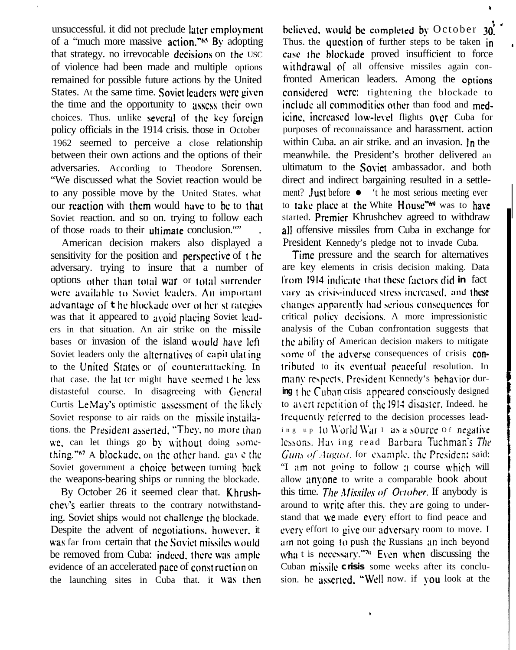unsuccessful. it did not preclude later employment of a "much more massive **action."**<sup>65</sup> By adopting that strategy. no irrevocable decisions on the USC of violence had been made and multiple options remained for possible future actions by the United States. At the same time. Soviet leaders were given the time and the opportunity to assess their own choices. Thus. unlike several of the key foreign policy officials in the 1914 crisis. those in October 1962 seemed to perceive a close relationship between their own actions and the options of their adversaries. According to Theodore Sorensen. "We discussed what the Soviet reaction would be to any possible move by the United States. what our reaction with them would have to be to that Soviet reaction. and so on. trying to follow each of those roads to their ultimate conclusion.""

,

American decision makers also displayed a sensitivity for the position and **perspective** of the adversary. trying to insure that a number of options other than total war or total surrender **were available to Soviet leaders. An important advantage** of **t** he blockade over ot her st rategies was that it appeared to avoid placing Soviet leaders in that situation. An air strike on the missile bases or invasion of the island would have left Soviet leaders only the alternatives of capit ulating to the United States or of counterattacking. In that case, the lat tcr might have seemed the less distasteful course. In disagreeing with General Curtis LeMay's optimistic assessment of the likely. Soviet response to air raids on the missile installations. the President asserted. "They, no more than we, can let things go by without doing something." $67$  A blockade, on the other hand. gave the Soviet government a choice between turning back the weapons-bearing ships or running the blockade.

By October 26 it seemed clear that. Khrushchev's earlier threats to the contrary notwithstanding. Soviet ships would not challcngc the blockade. Despite the advent of negotiations. however. it was far from certain that the Soviet missiles would be removed from Cuba: indeed, there was ample evidence of an accelerated pace of const ruction on the launching sites in Cuba that. it was then believed, would be completed by  $October 30'$ . Thus. the question of further steps to be taken in case the blockade proved insufficient to force withdrawal of all offensive missiles again confronted American leaders. Among the options considered were: tightening the blockade to include all commodities other than food and medicine, increased low-level flights over Cuba for purposes of reconnaissance and harassment. action within Cuba. an air strike, and an invasion. In the meanwhile. the President's brother delivered an ultimatum to the Soviet ambassador. and both direct and indirect bargaining resulted in a settlement? Just before  $\bullet$  't he most serious meeting ever to take place at the White House"<sup>69</sup> was to have started. Premier Khrushchev agreed to withdraw all offensive missiles from Cuba in exchange for President Kennedy's pledge not to invade Cuba.

\*

**.**

Time pressure and the search for alternatives are key elements in crisis decision making. Data **Ifrom 1914** indicate that these factors did in fact vary as crisis-induced stress increased, and these changes apparently had serious consequences for critical policy decisions. A more impressionistic analysis of the Cuban confrontation suggests that the ability of American decision makers to mitigate some of the adverse consequences of crisis contributed to its eventual peaceful resolution. In many respects. President Kennedy's behavior during t he Cuban crisis appeared consciously designed to avert repetition of the 1914 disaster. Indeed. he frequently referred to the decision processes leading up 10 World War I as a source of negative lessons. Hay ing read Barbara Tuchman's *The* Guns of August, for example, the President said: "I am not going to follow a course which will allow anyone to write a comparable book about this time. *The Missiles of October*. If anybody is around to write after this. they are going to understand that we made every effort to find peace and every effort to give our adversary room to move. I am not going to push the Russians an inch beyond what is necessary."<sup>70</sup> Even when discussing the Cuban missile crisis some weeks after its conclusion. he asserted. "Well now. if you look at the

 $\bullet$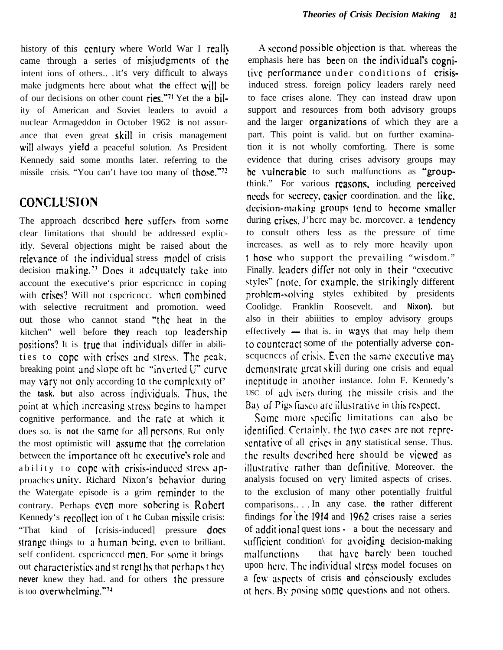history of this century where World War I really came through a series of misjudgments of the intent ions of others.. . it's very difficult to always make judgments here about what **the** effect will be of our decisions on other count ries."71 Yet the a bility of American and Soviet leaders to avoid a nuclear Armageddon in October 1962 **is** not assurance that even great skill in crisis management will always vield a peaceful solution. As President Kennedy said some months later. referring to the missile crisis. "You can't have too many of those."72

## **CONCLUSION**

The approach described here suffers from some clear limitations that should be addressed explicitly. Several objections might be raised about the relevance of the individual stress model of crisis decision making.<sup> $3$ </sup> Does it adequately take into account the executive's prior espcricncc in coping with crises? Will not cspcricncc. when combined with selective recruitment and promotion. weed out those who cannot stand "the heat in the kitchen" well before **they** reach top leadership positions? It is true that individuals differ in abilities to cope with crises and stress. The peak. breaking point and slope oft hc "inverted  $U$ " curve may vary not only according to the complexity of' the task. but also across individuals. Thus, the point at which increasing stress begins to hamper cognitive performance. and the rate at which it does so. is not the same for all persons. Rut only the most optimistic will assume that the correlation between the importance oft hc executive's role and ability to cope with crisis-induced stress approachcs unity. Richard Nixon's behavior during the Watergate episode is a grim rcmindcr to the contrary. Perhaps even more sobering is Robert Kennedy's recollect ion of t **hc** Cuban missile crisis: "That kind of [crisis-induced] pressure **does** strange things to a human being, even to brilliant. self confident. cspcricnccd  $mcn$ . For some it brings out characteristics and st rcngt hs that pcrhap\ t **hc> never** knew they had. and for others the pressure is too overwhelming."74

A second possible objection is that. whereas the emphasis here has been on the individual's cognitivc performance under conditions of crisisinduced stress. foreign policy leaders rarely need to face crises alone. They can instead draw upon support and resources from both advisory groups and the larger organizations of which they are a part. This point is valid. but on further examination it is not wholly comforting. There is some evidence that during crises advisory groups may be vulnerable to such malfunctions as "groupthink." For various reasons. including perceived needs for secrecy, casier coordination. and the like. decision-making groups tend to become smaller during crises. J'hcrc may bc. morcovcr. a tendency to consult others less as the pressure of time increases. as well as to rely more heavily upon t hose who support the prevailing "wisdom." Finally. leaders differ not only in their "executive styles" (note, for example, the strikingly different problem-solving styles exhibited by presidents Coolidge. Franklin Roosevelt. and **Nixon).** but also in their abiiities to employ advisory groups effectively  $-$  that is. in ways that may help them <sup>10</sup> counteract some of the potentially adverse consequences of crisis. Even the same executive may demonstrate great skill during one crisis and equal lncptitude in another instance. John F. Kennedy's USC of adv isers during the missile crisis and the Bay of Pigs fiasco are illustrative in this respect.

Some more specific limitations can also be identified. Certainly, the two cases are not representative of all crises in any statistical sense. Thus. the results dcscribcd hcrc should be viewed as illustrative rather than definitive. Moreover, the analysis focused on very limited aspects of crises. to the exclusion of many other potentially fruitful comparisons.. . . In any case. **the** rather different findings for'thc 1914 and 1962 crises raise a series of additional quest ions  $\cdot$  a bout the necessary and  $\text{suffix}$  condition\ for avoiding decision-making malfunctions that have barely been touched upon here. The individual stress model focuses on a few aspects of crisis and consciously excludes ot hers. By posing some questions and not others.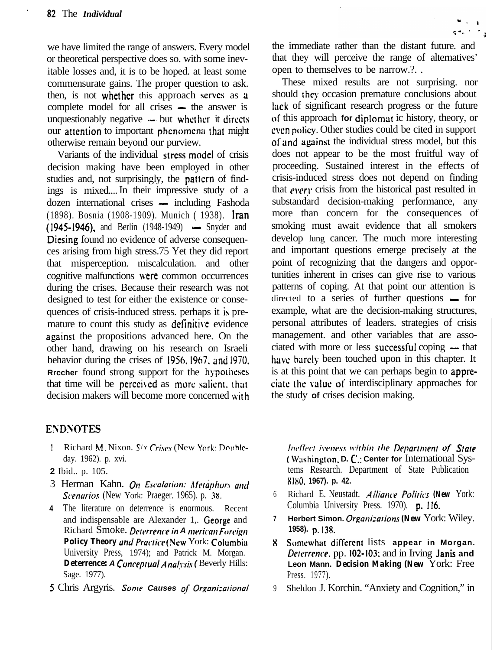we have limited the range of answers. Every model or theoretical perspective does so. with some inevitable losses and, it is to be hoped. at least some commensurate gains. The proper question to ask. then, is not whether this approach serves as a complete model for all crises – the answer is unquestionably negative  $\sim$  but whether it directs our attention to important phenomena that might otherwise remain beyond our purview.

Variants of the individual stress model of crisis decision making have been employed in other studies and, not surprisingly, the pattern of findings is mixed.... In their impressive study of a dozen international crises - including Fashoda (1898). Bosnia (1908-1909). Munich (1938). Iran  $(1945-1946)$ , and Berlin  $(1948-1949)$  - Snyder and Diesing found no evidence of adverse consequences arising from high stress.75 Yet they did report that misperception. miscalculation. and other cognitive malfunctions were common occurrences during the crises. Because their research was not designed to test for either the existence or consequences of crisis-induced stress, perhaps it is premature to count this study as definitive evidence against the propositions advanced here. On the other hand, drawing on his research on Israeli behavior during the crises of 1956, 1967, and 1970, Rrccher found strong support for the hypotheses that time will be perceived as more salient, that decision makers will become more concerned with

## **ENDNOTES**

- | Richard M. Nixon. Six Crises (New York: Doubleday. 1962). p. xvi.
- 2 Ibid., p. 105.
- 3 Herman Kahn. On Escalation: Metaphors and Scenarios (New York: Praeger. 1965). p. 38.
- 4 The literature on deterrence is enormous. Recent and indispensable are Alexander 1,. George and Richard Smoke. Deterrence in A merican Foreign Policy Theory and Practice (New York: Columbia University Press, 1974); and Patrick M. Morgan. **Deterrence: A Conceptual Analysis (Beverly Hills:** Sage. 1977).
- 5 Chris Argyris. Some Causes of Organizational

the immediate rather than the distant future, and that they will perceive the range of alternatives' open to themselves to be narrow.?..

These mixed results are not surprising. nor should they occasion premature conclusions about lack of significant research progress or the future of this approach for diplomat ic history, theory, or even policy. Other studies could be cited in support of and against the individual stress model, but this does not appear to be the most fruitful way of proceeding. Sustained interest in the effects of crisis-induced stress does not depend on finding that  $ever$  crisis from the historical past resulted in substandard decision-making performance, any more than concern for the consequences of smoking must await evidence that all smokers develop lung cancer. The much more interesting and important questions emerge precisely at the point of recognizing that the dangers and opportunities inherent in crises can give rise to various patterns of coping. At that point our attention is directed to a series of further questions  $-$  for example, what are the decision-making structures, personal attributes of leaders. strategies of crisis management, and other variables that are associated with more or less successful coping — that have barely been touched upon in this chapter. It is at this point that we can perhaps begin to appreciate the value of interdisciplinary approaches for the study of crises decision making.

Ineffect iveness within the Department of State (Washington, D. C.: Center for International Systems Research. Department of State Publication 8180, 1967). p. 42.

- 6 Richard E. Neustadt. Alliance Politics (New York: Columbia University Press. 1970). p. 116.
- Herbert Simon. Organizations (New York: Wiley.  $7\overline{ }$ 1958). p. 138.
- 8 Somewhat different lists appear in Morgan. Deterrence, pp. 102-103; and in Irving Janis and Leon Mann. Decision Making (New York: Free Press. 1977).
- Sheldon J. Korchin. "Anxiety and Cognition," in 9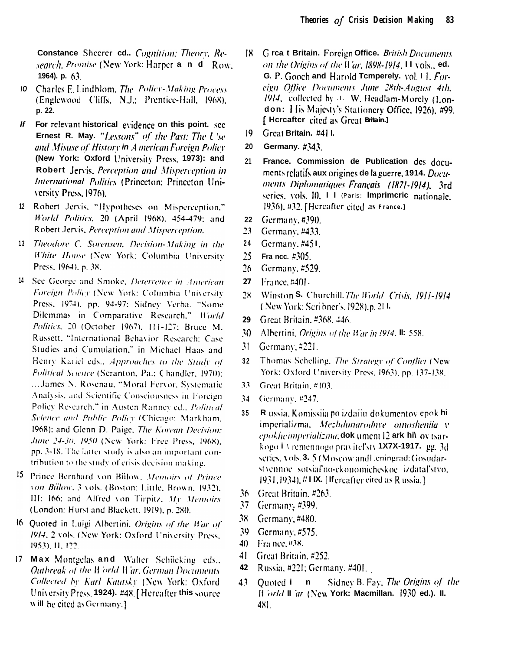Constance Sheerer cd.. Cognition: Theory, Research, Promise (New York: Harper a n d Row, 1964). p.  $63$ 

- 10 Charles E. Lindblom, The Policy-Making Process (Englewood Cliffs, N.J.: Prentice-Hall, 1968), p. 22.
- If For relevant historical evidence on this point. see Ernest R. May. "Lessons" of the Past: The Use and Misuse of History in American Foreign Policy (New York: Oxford University Press, 1973): and Robert Jervis, Perception and Misperception in International Politics (Princeton; Princeton University Press, 1976).
- 12 Robert Jervis, "Hypotheses on Misperception," World Politics, 20 (April 1968), 454-479; and Robert Jervis, Perception and Misperception.
- 13 Theodore C. Sorensen, Decision-Making in the White House (New York: Columbia University Press, 1964), p. 38.
- 14 See George and Smoke, Deterrence in American Foreign Policy (New York: Columbia University Press, 1974), pp. 94-97; Sidney Verba, "Some Dilemmas in Comparative Research." Horld Politics. 20 (October 1967), 111-127; Bruce M. Russett, "International Behavior Research: Case Studies and Cumulation," in Michael Haas and Henry Kariel eds., Approaches to the Study of Political Science (Scranton, Pa.: Chandler, 1970); ... James N. Rosenau, "Moral Fervor, Systematic Analysis, and Scientific Consciousness in Foreign Policy Research," in Austen Ranney ed., Political Science and Public Policy (Chicago: Markham, 1968); and Glenn D. Paige, The Korean Decision: June 24-30, 1950 (New York: Free Press, 1968). pp. 3-18. The latter study is also an important contribution to the study of crisis decision making.
- 15 Prince Bernhard von Bülow, Memoirs of Prince von Bülow, 3 vols. (Boston: Little, Brown, 1932), III: 166; and Alfred von Tirpitz, My Memoirs (London: Hurst and Blackett, 1919), p. 280.
- 16 Quoted in Luigi Albertini, Origins of the War of 1914, 2 vols. (New York: Oxford University Press, 1953), H. 122.
- 17 Max Montgelas and Walter Schücking eds., Outbreak of the *World War*, German Documents Collected by Karl Kautsky (New York: Oxford University Press, 1924). #48. [Hereafter this source will be cited as Germany.]
- 18 G rea t Britain. Foreign Office. British Documents on the Origins of the War, 1898-1914, 11 vols., ed. G. P. Gooch and Harold Temperely. vol. I.J., Foreign Office Documents June 28th-August 4th, 1914, collected by L. W. Headlam-Morely (London: His Majesty's Stationery Office, 1926), #99. [ Hereafter cited as Great Britain.]
- $19<sup>°</sup>$ Great Britain. #41 I.
- $20<sub>2</sub>$ Germany.  $\#343$ .
- $21$ France. Commission de Publication des documents relatifs aux origines de la guerre, 1914. Documents Diplomatiques Français (1871-1914), 3rd series, vols. 10, 1-1 (Paris: Imprimerie nationale, 1936), #32. [Hereafter cited as France.]
- 22 Germany,  $\#390$ .
- $23$ Germany, #433.
- 24 Germany, #451,
- 25 Fra ncc.  $\frac{1}{2}305$ .
- 26 Germany, #529.
- France, #401. 27
- Winston S. Churchill, The World. Crisis, 1911-1914  $28$ (New York: Scribner's, 1928), p. 214.
- 29 Great Britain, #368, 446.
- 30 Albertini, Origins of the War in 1914, II: 558.
- $31$ Germany, #221.
- Thomas Schelling, The Strategy of Conflict (New  $32$ York: Oxford University Press, 1963), pp. 137-138.
- 33 Great Britain, #103.
- $34$ Germany, #247.
- 35 R ussia, Komissiia po izdaiju dokumentov epok hi imperializma. Mezhdunarodnye otnosheniia v epokheimperializma; dok ument 12 ark hiv ov tsarkogo I v remennogo praviteľsty 1X7X-1917. gg. 3d series, vols. 3. 5 (Moscow and Leningrad: Gosudarstvennoe sotsial'no-ekonomicheskoe izdataľstvo, 1931, 1934), #1 IX. [ If creafter cited as R ussia.]
- 36 Great Britain, #263.
- 37 Germany, #399.
- 38 Germany, #480.
- 39 Germany, #575.
- 40 Fra nce, #38.
- 41 Great Britain, #252.
- Russia, #221; Germany, #401. 42
- Sidney B. Fay, The Origins of the 43 Quoted in H orld II at (New York: Macmillan. 1930 ed.). II. 481.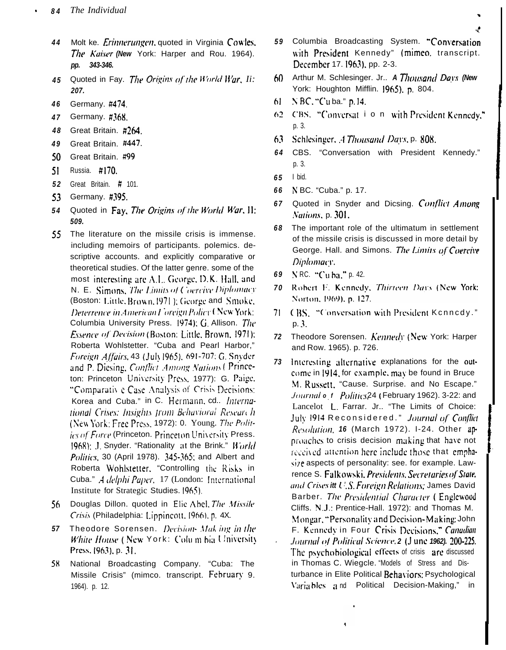- Molt ke. Erinnerungen, quoted in Virginia Cowles, 44 The Kaiser (New York: Harper and Rou. 1964). pp. 343-346.
- 45 Quoted in Fay. The Origins of the World War, Ii: 207.
- Germany. #474. 46
- 47 Germany. #368.
- 48 Great Britain. #264.
- 49 Great Britain. #447.
- 50 Great Britain, #99
- 51 Russia. #170.
- 52 Great Britain. # 101.
- 53 Germany. #395.
- 54 Quoted in Fay, The Origins of the World War, II: 509.
- 55 The literature on the missile crisis is immense. including memoirs of participants. polemics. descriptive accounts. and explicitly comparative or theoretical studies. Of the latter genre. some of the most interesting are A.L. George, D.K. Hall, and N. E. Simons, The Limits of Coercive Diplomacy (Boston: Little, Brown, 1971); George and Smoke, Deterrence in American Foreign Policy (New York: Columbia University Press. 1974); G. Allison. The *Essence of Decision* (Boston: Little, Brown, 1971); Roberta Wohlstetter. "Cuba and Pearl Harbor," Foreign Affairs, 43 (July 1965), 691-707; G. Snyder and P. Diesing, Conflict Among Nations (Princeton: Princeton University Press, 1977): G. Paige, "Comparativ e Case Analysis of Crisis Decisions: Korea and Cuba." in C. Hermann, cd.. International Crises: Insights from Behavioral Research (New York: Free Press, 1972): 0. Young. The Politics of Force (Princeton. Princeton University Press. 1968); J. Snyder. "Rationality at the Brink." World Politics, 30 (April 1978). 345-365; and Albert and Roberta Wohlstetter, "Controlling the Risks in Cuba." A delphi Paper, 17 (London: International Institute for Strategic Studies. [965].
- 56 Douglas Dillon. quoted in Elie Abel, The Missile Crisis (Philadelphia: Lippincott, 1966), p. 4X.
- 57 Theodore Sorensen. Decision Making in the White House (New York: Columbia University Press, 1963), p. 31.
- National Broadcasting Company. "Cuba: The 58. Missile Crisis" (mimco. transcript. February 9. 1964). p. 12.
- 59 Columbia Broadcasting System. "Conversation with President Kennedy" (mimeo, transcript. December 17. 1963), pp. 2-3.
- 60 Arthur M. Schlesinger. Jr.. A Thousand Days (New York: Houghton Mifflin. 1965), p. 804.
- $N BC.$  "Cuba." p.14. 61 -
- 62 CBS. "Conversat 1 o n with President Kennedy," p. 3.
- 63 Schlesinger, *A Thousand Days*, p. 808.
- 64 CBS. "Conversation with President Kennedy." p. 3.
- 65 | bid.
- 66 N BC. "Cuba." p. 17.
- 67 Quoted in Snyder and Dicsing. Conflict Among Nations, p. 301.
- 68 The important role of the ultimatum in settlement of the missile crisis is discussed in more detail by George. Hall. and Simons. The Limits of Coercive Diplomacy.
- 69 NRC. "Cu ba," p. 42.
- 70 Robert F. Kennedy, Thirteen Days (New York: Norton, 1969), p. 127.
- 71 (BS, "Conversation with President Konnody." p. 3.
- 72 Theodore Sorensen. Kennedy (New York: Harper and Row. 1965). p. 726.
- Interesting alternative explanations for the out-73 come in 1914, for example, may be found in Bruce M. Russett, "Cause. Surprise. and No Escape." Journal of Politics24 (February 1962). 3-22: and Lancelot L. Farrar. Jr.. "The Limits of Choice: July 1914 Reconsidered." Journal of Conflict Resolution, 16 (March 1972). I-24. Other approaches to crisis decision making that have not received attention here include those that emphasize aspects of personality: see. for example. Lawrence S. Falkowski, Presidents, Secretaries of State, and Crises itt U.S. Foreign Relations: James David Barber. The Presidential Character (Englewood Cliffs. N.J.: Prentice-Hall. 1972): and Thomas M. Mongar, "Personality and Decision-Making John F. Kennedy in Four Crisis Decisions," Canadian Journal of Political Science, 2 (J une 1962), 200-225. The psychobiological effects of crisis are discussed in Thomas C. Wiegcle. "Models of Stress and Disturbance in Elite Political Behaviors: Psychological Variables and Political Decision-Making," in